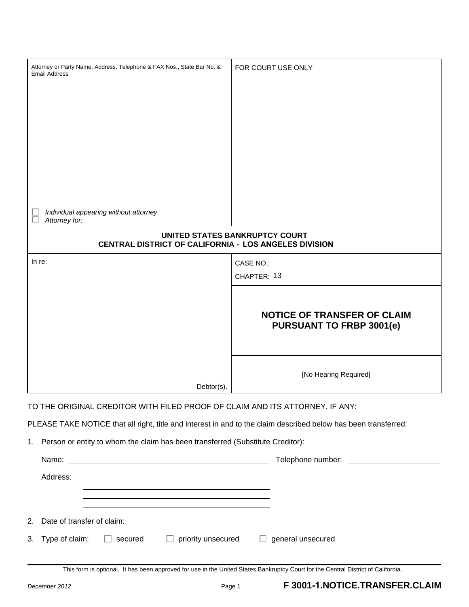| Attorney or Party Name, Address, Telephone & FAX Nos., State Bar No. &<br><b>Email Address</b>                                   | FOR COURT USE ONLY                                                    |  |  |  |
|----------------------------------------------------------------------------------------------------------------------------------|-----------------------------------------------------------------------|--|--|--|
|                                                                                                                                  |                                                                       |  |  |  |
|                                                                                                                                  |                                                                       |  |  |  |
|                                                                                                                                  |                                                                       |  |  |  |
|                                                                                                                                  |                                                                       |  |  |  |
|                                                                                                                                  |                                                                       |  |  |  |
|                                                                                                                                  |                                                                       |  |  |  |
| Individual appearing without attorney                                                                                            |                                                                       |  |  |  |
| Attorney for:                                                                                                                    |                                                                       |  |  |  |
| UNITED STATES BANKRUPTCY COURT<br>CENTRAL DISTRICT OF CALIFORNIA - LOS ANGELES DIVISION                                          |                                                                       |  |  |  |
| In re:                                                                                                                           | CASE NO.:                                                             |  |  |  |
|                                                                                                                                  | CHAPTER: 13                                                           |  |  |  |
|                                                                                                                                  |                                                                       |  |  |  |
|                                                                                                                                  | <b>NOTICE OF TRANSFER OF CLAIM</b><br><b>PURSUANT TO FRBP 3001(e)</b> |  |  |  |
|                                                                                                                                  |                                                                       |  |  |  |
| Debtor(s).                                                                                                                       | [No Hearing Required]                                                 |  |  |  |
|                                                                                                                                  |                                                                       |  |  |  |
| TO THE ORIGINAL CREDITOR WITH FILED PROOF OF CLAIM AND ITS ATTORNEY, IF ANY:                                                     |                                                                       |  |  |  |
| PLEASE TAKE NOTICE that all right, title and interest in and to the claim described below has been transferred:                  |                                                                       |  |  |  |
| Person or entity to whom the claim has been transferred (Substitute Creditor):<br>1.                                             |                                                                       |  |  |  |
|                                                                                                                                  |                                                                       |  |  |  |
| Address:<br><u> 1980 - Johann Barn, mars ann an t-Amhain Aonaich an t-Aonaich an t-Aonaich ann an t-Aonaich ann an t-Aonaich</u> |                                                                       |  |  |  |
| <u> 1989 - Jan Samuel Barbara, margaret eta idazlea (h. 1989).</u>                                                               |                                                                       |  |  |  |

| 2. Date of transfer of claim:    |                    |                          |
|----------------------------------|--------------------|--------------------------|
| 3. Type of claim: $\Box$ secured | priority unsecured | $\Box$ general unsecured |

This form is optional. It has been approved for use in the United States Bankruptcy Court for the Central District of California.